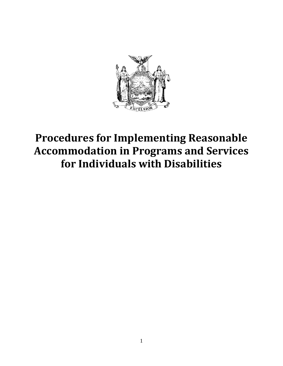

# **Procedures for Implementing Reasonable Accommodation in Programs and Services for Individuals with Disabilities**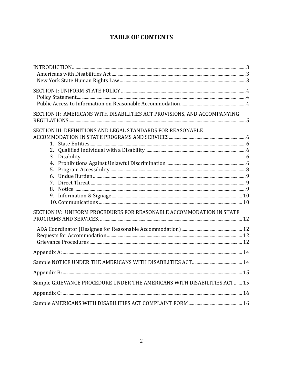# **TABLE OF CONTENTS**

| INTRODUCTION 3                                                           |  |  |
|--------------------------------------------------------------------------|--|--|
|                                                                          |  |  |
|                                                                          |  |  |
|                                                                          |  |  |
|                                                                          |  |  |
|                                                                          |  |  |
| SECTION II: AMERICANS WITH DISABILITIES ACT PROVISIONS, AND ACCOMPANYING |  |  |
|                                                                          |  |  |
| SECTION III: DEFINITIONS AND LEGAL STANDARDS FOR REASONABLE              |  |  |
|                                                                          |  |  |
|                                                                          |  |  |
| 2.                                                                       |  |  |
| 3.                                                                       |  |  |
| 4.                                                                       |  |  |
| 5.                                                                       |  |  |
| 6.                                                                       |  |  |
| 7.                                                                       |  |  |
| 8.                                                                       |  |  |
|                                                                          |  |  |
|                                                                          |  |  |
| SECTION IV: UNIFORM PROCEDURES FOR REASONABLE ACCOMMODATION IN STATE     |  |  |
|                                                                          |  |  |
|                                                                          |  |  |
|                                                                          |  |  |
|                                                                          |  |  |
|                                                                          |  |  |
|                                                                          |  |  |
|                                                                          |  |  |
| Sample GRIEVANCE PROCEDURE UNDER THE AMERICANS WITH DISABILITIES ACT  15 |  |  |
|                                                                          |  |  |
|                                                                          |  |  |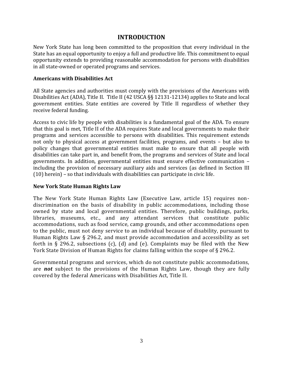#### **INTRODUCTION**

<span id="page-2-0"></span>New York State has long been committed to the proposition that every individual in the State has an equal opportunity to enjoy a full and productive life. This commitment to equal opportunity extends to providing reasonable accommodation for persons with disabilities in all state-owned or operated programs and services.

#### <span id="page-2-1"></span>**Americans with Disabilities Act**

All State agencies and authorities must comply with the provisions of the Americans with Disabilities Act (ADA), Title II. Title II (42 USCA §§ 12131-12134) applies to State and local government entities. State entities are covered by Title II regardless of whether they receive federal funding.

Access to civic life by people with disabilities is a fundamental goal of the ADA. To ensure that this goal is met, Title II of the ADA requires State and local governments to make their programs and services accessible to persons with disabilities. This requirement extends not only to physical access at government facilities, programs, and events – but also to policy changes that governmental entities must make to ensure that all people with disabilities can take part in, and benefit from, the programs and services of State and local governments. In addition, governmental entities must ensure effective communication – including the provision of necessary auxiliary aids and services (as defined in Section III (10) herein) – so that individuals with disabilities can participate in civic life.

#### <span id="page-2-2"></span>**New York State Human Rights Law**

The New York State Human Rights Law (Executive Law, article 15) requires nondiscrimination on the basis of disability in public accommodations, including those owned by state and local governmental entities. Therefore, public buildings, parks, libraries, museums, etc., and any attendant services that constitute public accommodations, such as food service, camp grounds, and other accommodations open to the public, must not deny service to an individual because of disability, pursuant to Human Rights Law § 296.2, and must provide accommodation and accessibility as set forth in § 296.2, subsections (c), (d) and (e). Complaints may be filed with the New York State Division of Human Rights for claims falling within the scope of § 296.2.

Governmental programs and services, which do not constitute public accommodations, are *not* subject to the provisions of the Human Rights Law, though they are fully covered by the federal Americans with Disabilities Act, Title II.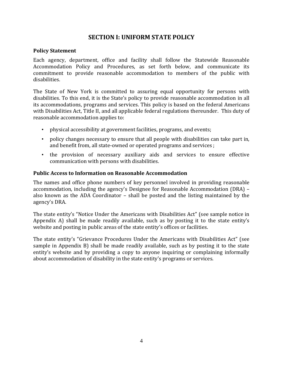## **SECTION I: UNIFORM STATE POLICY**

#### <span id="page-3-1"></span><span id="page-3-0"></span>**Policy Statement**

Each agency, department, office and facility shall follow the Statewide Reasonable Accommodation Policy and Procedures, as set forth below, and communicate its commitment to provide reasonable accommodation to members of the public with disabilities.

The State of New York is committed to assuring equal opportunity for persons with disabilities. To this end, it is the State's policy to provide reasonable accommodation in all its accommodations, programs and services. This policy is based on the federal Americans with Disabilities Act, Title II, and all applicable federal regulations thereunder. This duty of reasonable accommodation applies to:

- physical accessibility at government facilities, programs, and events;
- policy changes necessary to ensure that all people with disabilities can take part in, and benefit from, all state-owned or operated programs and services ;
- the provision of necessary auxiliary aids and services to ensure effective communication with persons with disabilities.

#### <span id="page-3-2"></span>**Public Access to Information on Reasonable Accommodation**

The names and office phone numbers of key personnel involved in providing reasonable accommodation, including the agency's Designee for Reasonable Accommodation (DRA) – also known as the ADA Coordinator – shall be posted and the listing maintained by the agency's DRA.

The state entity's "Notice Under the Americans with Disabilities Act" (see sample notice in Appendix A) shall be made readily available, such as by posting it to the state entity's website and posting in public areas of the state entity's offices or facilities.

The state entity's "Grievance Procedures Under the Americans with Disabilities Act" (see sample in Appendix B) shall be made readily available, such as by posting it to the state entity's website and by providing a copy to anyone inquiring or complaining informally about accommodation of disability in the state entity's programs or services.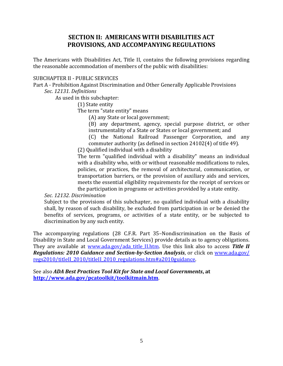## **SECTION II: AMERICANS WITH DISABILITIES ACT PROVISIONS, AND ACCOMPANYING REGULATIONS**

<span id="page-4-0"></span>The Americans with Disabilities Act, Title II, contains the following provisions regarding the reasonable accommodation of members of the public with disabilities:

#### SUBCHAPTER II - PUBLIC SERVICES

Part A - Prohibition Against Discrimination and Other Generally Applicable Provisions

*Sec. 12131. Definitions*

As used in this subchapter:

(1) State entity

The term "state entity" means

(A) any State or local government;

(B) any department, agency, special purpose district, or other instrumentality of a State or States or local government; and

(C) the National Railroad Passenger Corporation, and any commuter authority (as defined in section 24102(4) of title 49).

(2) Qualified individual with a disability

The term "qualified individual with a disability" means an individual with a disability who, with or without reasonable modifications to rules, policies, or practices, the removal of architectural, communication, or transportation barriers, or the provision of auxiliary aids and services, meets the essential eligibility requirements for the receipt of services or the participation in programs or activities provided by a state entity.

*Sec. 12132. Discrimination*

Subject to the provisions of this subchapter, no qualified individual with a disability shall, by reason of such disability, be excluded from participation in or be denied the benefits of services, programs, or activities of a state entity, or be subjected to discrimination by any such entity.

The accompanying regulations (28 C.F.R. Part 35–Nondiscrimination on the Basis of Disability in State and Local Government Services) provide details as to agency obligations. They are available at [www.ada.gov/ada\\_title\\_II.htm.](http://www.ada.gov/ada_title_II.htm) Use this link also to access **Title II** *Regulations: 2010 Guidance and Section-by-Section Analysis*, or click on [www.ada.gov/](http://www.ada.gov/regs2010/titleII_2010/titleII_2010_regulations.htm#a2010guidance)  [regs2010/titleII\\_2010/titleII\\_2010\\_regulations.htm#a2010guidance.](http://www.ada.gov/regs2010/titleII_2010/titleII_2010_regulations.htm#a2010guidance)

See also *ADA Best Practices Tool Kit for State and Local Governments***, at <http://www.ada.gov/pcatoolkit/toolkitmain.htm>**.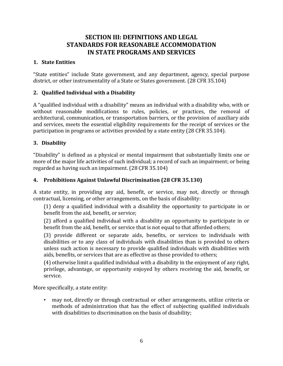## <span id="page-5-3"></span><span id="page-5-2"></span><span id="page-5-1"></span>**SECTION III: DEFINITIONS AND LEGAL STANDARDS FOR REASONABLE ACCOMMODATION IN STATE PROGRAMS AND SERVICES**

#### <span id="page-5-0"></span>**1. State Entities**

"State entities" include State government, and any department, agency, special purpose district, or other instrumentality of a State or States government. (28 CFR 35.104)

#### **2. Qualified Individual with a Disability**

A "qualified individual with a disability" means an individual with a disability who, with or without reasonable modifications to rules, policies, or practices, the removal of architectural, communication, or transportation barriers, or the provision of auxiliary aids and services, meets the essential eligibility requirements for the receipt of services or the participation in programs or activities provided by a state entity (28 CFR 35.104).

#### **3. Disability**

"Disability" is defined as a physical or mental impairment that substantially limits one or more of the major life activities of such individual; a record of such an impairment; or being regarded as having such an impairment. (28 CFR 35.104)

#### **4. Prohibitions Against Unlawful Discrimination (28 CFR 35.130)**

A state entity, in providing any aid, benefit, or service, may not, directly or through contractual, licensing, or other arrangements, on the basis of disability:

<span id="page-5-4"></span>(1) deny a qualified individual with a disability the opportunity to participate in or benefit from the aid, benefit, or service;

(2) afford a qualified individual with a disability an opportunity to participate in or benefit from the aid, benefit, or service that is not equal to that afforded others;

(3) provide different or separate aids, benefits, or services to individuals with disabilities or to any class of individuals with disabilities than is provided to others unless such action is necessary to provide qualified individuals with disabilities with aids, benefits, or services that are as effective as those provided to others;

(4) otherwise limit a qualified individual with a disability in the enjoyment of any right, privilege, advantage, or opportunity enjoyed by others receiving the aid, benefit, or service.

More specifically, a state entity:

• may not, directly or through contractual or other arrangements, utilize criteria or methods of administration that has the effect of subjecting qualified individuals with disabilities to discrimination on the basis of disability;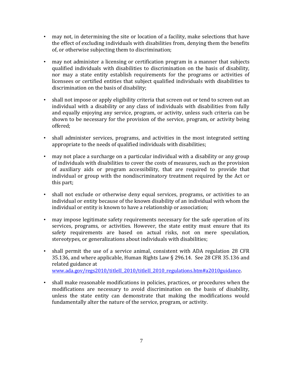- may not, in determining the site or location of a facility, make selections that have the effect of excluding individuals with disabilities from, denying them the benefits of, or otherwise subjecting them to discrimination;
- may not administer a licensing or certification program in a manner that subjects qualified individuals with disabilities to discrimination on the basis of disability, nor may a state entity establish requirements for the programs or activities of licensees or certified entities that subject qualified individuals with disabilities to discrimination on the basis of disability;
- shall not impose or apply eligibility criteria that screen out or tend to screen out an individual with a disability or any class of individuals with disabilities from fully and equally enjoying any service, program, or activity, unless such criteria can be shown to be necessary for the provision of the service, program, or activity being offered;
- shall administer services, programs, and activities in the most integrated setting appropriate to the needs of qualified individuals with disabilities;
- may not place a surcharge on a particular individual with a disability or any group of individuals with disabilities to cover the costs of measures, such as the provision of auxiliary aids or program accessibility, that are required to provide that individual or group with the nondiscriminatory treatment required by the Act or this part;
- shall not exclude or otherwise deny equal services, programs, or activities to an individual or entity because of the known disability of an individual with whom the individual or entity is known to have a relationship or association;
- may impose legitimate safety requirements necessary for the safe operation of its services, programs, or activities. However, the state entity must ensure that its safety requirements are based on actual risks, not on mere speculation, stereotypes, or generalizations about individuals with disabilities;
- shall permit the use of a service animal, consistent with ADA regulation 28 CFR 35.136, and where applicable, Human Rights Law § 296.14. See 28 CFR 35.136 and related guidance at [www.ada.gov/regs2010/titleII\\_2010/titleII\\_2010\\_regulations.htm#a2010guidance](http://www.ada.gov/regs2010/titleII_2010/titleII_2010_regulations.htm#a2010guidance).
- <span id="page-6-0"></span>• shall make reasonable modifications in policies, practices, or procedures when the modifications are necessary to avoid discrimination on the basis of disability, unless the state entity can demonstrate that making the modifications would fundamentally alter the nature of the service, program, or activity.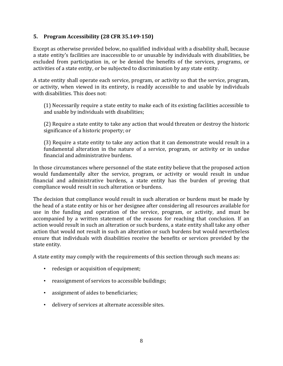#### **5. Program Accessibility (28 CFR 35.149-150)**

Except as otherwise provided below, no qualified individual with a disability shall, because a state entity's facilities are inaccessible to or unusable by individuals with disabilities, be excluded from participation in, or be denied the benefits of the services, programs, or activities of a state entity, or be subjected to discrimination by any state entity.

A state entity shall operate each service, program, or activity so that the service, program, or activity, when viewed in its entirety, is readily accessible to and usable by individuals with disabilities. This does not:

(1) Necessarily require a state entity to make each of its existing facilities accessible to and usable by individuals with disabilities;

(2) Require a state entity to take any action that would threaten or destroy the historic significance of a historic property; or

(3) Require a state entity to take any action that it can demonstrate would result in a fundamental alteration in the nature of a service, program, or activity or in undue financial and administrative burdens.

In those circumstances where personnel of the state entity believe that the proposed action would fundamentally alter the service, program, or activity or would result in undue financial and administrative burdens, a state entity has the burden of proving that compliance would result in such alteration or burdens.

The decision that compliance would result in such alteration or burdens must be made by the head of a state entity or his or her designee after considering all resources available for use in the funding and operation of the service, program, or activity, and must be accompanied by a written statement of the reasons for reaching that conclusion. If an action would result in such an alteration or such burdens, a state entity shall take any other action that would not result in such an alteration or such burdens but would nevertheless ensure that individuals with disabilities receive the benefits or services provided by the state entity.

A state entity may comply with the requirements of this section through such means as:

- redesign or acquisition of equipment;
- reassignment of services to accessible buildings;
- assignment of aides to beneficiaries;
- delivery of services at alternate accessible sites.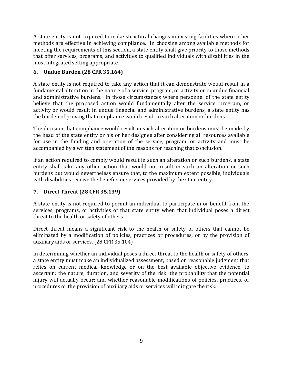A state entity is not required to make structural changes in existing facilities where other methods are effective in achieving compliance. In choosing among available methods for meeting the requirements of this section, a state entity shall give priority to those methods that offer services, programs, and activities to qualified individuals with disabilities in the most integrated setting appropriate.

## <span id="page-8-0"></span>**6. Undue Burden (28 CFR 35.164)**

A state entity is not required to take any action that it can demonstrate would result in a fundamental alteration in the nature of a service, program, or activity or in undue financial and administrative burdens. In those circumstances where personnel of the state entity believe that the proposed action would fundamentally alter the service, program, or activity or would result in undue financial and administrative burdens, a state entity has the burden of proving that compliance would result in such alteration or burdens.

The decision that compliance would result in such alteration or burdens must be made by the head of the state entity or his or her designee after considering all resources available for use in the funding and operation of the service, program, or activity and must be accompanied by a written statement of the reasons for reaching that conclusion.

If an action required to comply would result in such an alteration or such burdens, a state entity shall take any other action that would not result in such an alteration or such burdens but would nevertheless ensure that, to the maximum extent possible, individuals with disabilities receive the benefits or services provided by the state entity.

## <span id="page-8-1"></span>**7. Direct Threat (28 CFR 35.139)**

A state entity is not required to permit an individual to participate in or benefit from the services, programs, or activities of that state entity when that individual poses a direct threat to the health or safety of others.

Direct threat means a significant risk to the health or safety of others that cannot be eliminated by a modification of policies, practices or procedures, or by the provision of auxiliary aids or services. (28 CFR 35.104)

<span id="page-8-2"></span>In determining whether an individual poses a direct threat to the health or safety of others, a state entity must make an individualized assessment, based on reasonable judgment that relies on current medical knowledge or on the best available objective evidence, to ascertain: the nature, duration, and severity of the risk; the probability that the potential injury will actually occur; and whether reasonable modifications of policies, practices, or procedures or the provision of auxiliary aids or services will mitigate the risk.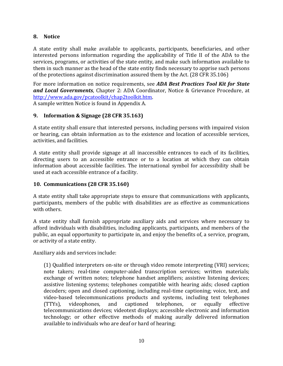#### **8. Notice**

A state entity shall make available to applicants, participants, beneficiaries, and other interested persons information regarding the applicability of Title II of the ADA to the services, programs, or activities of the state entity, and make such information available to them in such manner as the head of the state entity finds necessary to apprise such persons of the protections against discrimination assured them by the Act. (28 CFR 35.106)

For more information on notice requirements, see *ADA Best Practices Tool Kit for State and Local Governments*, Chapter 2: ADA Coordinator, Notice & Grievance Procedure, at [http://www.ada.gov/pcatoolkit/chap2toolkit.htm.](http://www.ada.gov/pcatoolkit/chap2toolkit.htm)

<span id="page-9-0"></span>A sample written Notice is found in Appendix A.

### **9. Information & Signage (28 CFR 35.163)**

A state entity shall ensure that interested persons, including persons with impaired vision or hearing, can obtain information as to the existence and location of accessible services, activities, and facilities.

A state entity shall provide signage at all inaccessible entrances to each of its facilities, directing users to an accessible entrance or to a location at which they can obtain information about accessible facilities. The international symbol for accessibility shall be used at each accessible entrance of a facility.

#### <span id="page-9-1"></span>**10. Communications (28 CFR 35.160)**

A state entity shall take appropriate steps to ensure that communications with applicants, participants, members of the public with disabilities are as effective as communications with others.

A state entity shall furnish appropriate auxiliary aids and services where necessary to afford individuals with disabilities, including applicants, participants, and members of the public, an equal opportunity to participate in, and enjoy the benefits of, a service, program, or activity of a state entity.

Auxiliary aids and services include:

(1) Qualified interpreters on-site or through video remote interpreting (VRI) services; note takers; real-time computer-aided transcription services; written materials; exchange of written notes; telephone handset amplifiers; assistive listening devices; assistive listening systems; telephones compatible with hearing aids; closed caption decoders; open and closed captioning, including real-time captioning; voice, text, and video-based telecommunications products and systems, including text telephones (TTYs), videophones, and captioned telephones, or equally effective telecommunications devices; videotext displays; accessible electronic and information technology; or other effective methods of making aurally delivered information available to individuals who are deaf or hard of hearing;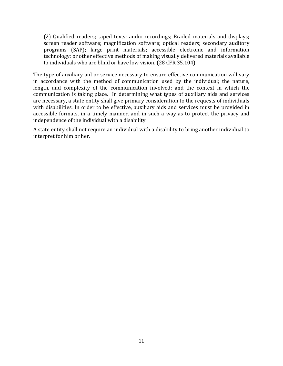(2) Qualified readers; taped texts; audio recordings; Brailed materials and displays; screen reader software; magnification software; optical readers; secondary auditory programs (SAP); large print materials; accessible electronic and information technology; or other effective methods of making visually delivered materials available to individuals who are blind or have low vision. (28 CFR 35.104)

The type of auxiliary aid or service necessary to ensure effective communication will vary in accordance with the method of communication used by the individual; the nature, length, and complexity of the communication involved; and the context in which the communication is taking place. In determining what types of auxiliary aids and services are necessary, a state entity shall give primary consideration to the requests of individuals with disabilities. In order to be effective, auxiliary aids and services must be provided in accessible formats, in a timely manner, and in such a way as to protect the privacy and independence of the individual with a disability.

A state entity shall not require an individual with a disability to bring another individual to interpret for him or her.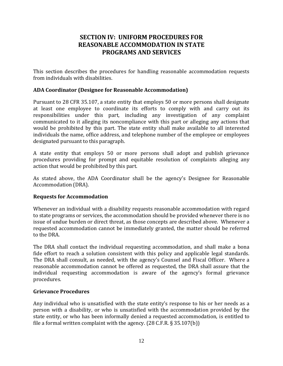## <span id="page-11-1"></span>**SECTION IV: UNIFORM PROCEDURES FOR REASONABLE ACCOMMODATION IN STATE PROGRAMS AND SERVICES**

<span id="page-11-0"></span>This section describes the procedures for handling reasonable accommodation requests from individuals with disabilities.

#### **ADA Coordinator (Designee for Reasonable Accommodation)**

Pursuant to 28 CFR 35.107, a state entity that employs 50 or more persons shall designate at least one employee to coordinate its efforts to comply with and carry out its responsibilities under this part, including any investigation of any complaint communicated to it alleging its noncompliance with this part or alleging any actions that would be prohibited by this part. The state entity shall make available to all interested individuals the name, office address, and telephone number of the employee or employees designated pursuant to this paragraph.

A state entity that employs 50 or more persons shall adopt and publish grievance procedures providing for prompt and equitable resolution of complaints alleging any action that would be prohibited by this part.

<span id="page-11-2"></span>As stated above, the ADA Coordinator shall be the agency's Designee for Reasonable Accommodation (DRA).

#### **Requests for Accommodation**

Whenever an individual with a disability requests reasonable accommodation with regard to state programs or services, the accommodation should be provided whenever there is no issue of undue burden or direct threat, as those concepts are described above. Whenever a requested accommodation cannot be immediately granted, the matter should be referred to the DRA.

The DRA shall contact the individual requesting accommodation, and shall make a bona fide effort to reach a solution consistent with this policy and applicable legal standards. The DRA shall consult, as needed, with the agency's Counsel and Fiscal Officer. Where a reasonable accommodation cannot be offered as requested, the DRA shall assure that the individual requesting accommodation is aware of the agency's formal grievance procedures.

#### <span id="page-11-3"></span>**Grievance Procedures**

Any individual who is unsatisfied with the state entity's response to his or her needs as a person with a disability, or who is unsatisfied with the accommodation provided by the state entity, or who has been informally denied a requested accommodation, is entitled to file a formal written complaint with the agency. (28 C.F.R. § 35.107(b))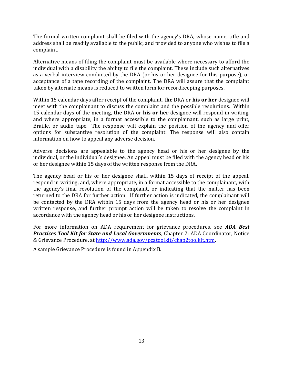The formal written complaint shall be filed with the agency's DRA, whose name, title and address shall be readily available to the public, and provided to anyone who wishes to file a complaint.

Alternative means of filing the complaint must be available where necessary to afford the individual with a disability the ability to file the complaint. These include such alternatives as a verbal interview conducted by the DRA (or his or her designee for this purpose), or acceptance of a tape recording of the complaint. The DRA will assure that the complaint taken by alternate means is reduced to written form for recordkeeping purposes.

Within 15 calendar days after receipt of the complaint, **the** DRA or **his or her** designee will meet with the complainant to discuss the complaint and the possible resolutions. Within 15 calendar days of the meeting, **the** DRA or **his or her** designee will respond in writing, and where appropriate, in a format accessible to the complainant, such as large print, Braille, or audio tape. The response will explain the position of the agency and offer options for substantive resolution of the complaint. The response will also contain information on how to appeal any adverse decision.

Adverse decisions are appealable to the agency head or his or her designee by the individual, or the individual's designee. An appeal must be filed with the agency head or his or her designee within 15 days of the written response from the DRA.

The agency head or his or her designee shall, within 15 days of receipt of the appeal, respond in writing, and, where appropriate, in a format accessible to the complainant, with the agency's final resolution of the complaint, or indicating that the matter has been returned to the DRA for further action. If further action is indicated, the complainant will be contacted by the DRA within 15 days from the agency head or his or her designee written response, and further prompt action will be taken to resolve the complaint in accordance with the agency head or his or her designee instructions.

For more information on ADA requirement for grievance procedures, see *ADA Best Practices Tool Kit for State and Local Governments*, Chapter 2: ADA Coordinator, Notice & Grievance Procedure, at [http://www.ada.gov/pcatoolkit/chap2toolkit.htm.](http://www.ada.gov/pcatoolkit/chap2toolkit.htm)

A sample Grievance Procedure is found in Appendix B.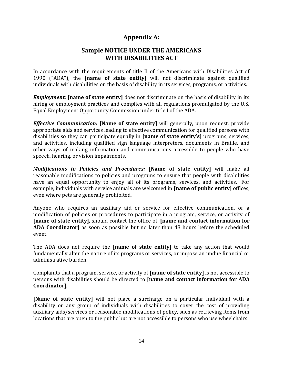## **Appendix A:**

## **Sample NOTICE UNDER THE AMERICANS WITH DISABILITIES ACT**

<span id="page-13-1"></span><span id="page-13-0"></span>In accordance with the requirements of title II of the Americans with Disabilities Act of 1990 ("ADA"), the **[name of state entity]** will not discriminate against qualified individuals with disabilities on the basis of disability in its services, programs, or activities.

*Employment:* **[name of state entity]** does not discriminate on the basis of disability in its hiring or employment practices and complies with all regulations promulgated by the U.S. Equal Employment Opportunity Commission under title I of the ADA.

*Effective Communication:* **[Name of state entity]** will generally, upon request, provide appropriate aids and services leading to effective communication for qualified persons with disabilities so they can participate equally in **[name of state entity's]** programs, services, and activities, including qualified sign language interpreters, documents in Braille, and other ways of making information and communications accessible to people who have speech, hearing, or vision impairments.

*Modifications to Policies and Procedures:* **[Name of state entity]** will make all reasonable modifications to policies and programs to ensure that people with disabilities have an equal opportunity to enjoy all of its programs, services, and activities. For example, individuals with service animals are welcomed in **[name of public entity]** offices, even where pets are generally prohibited.

Anyone who requires an auxiliary aid or service for effective communication, or a modification of policies or procedures to participate in a program, service, or activity of **[name of state entity],** should contact the office of **[name and contact information for ADA Coordinator]** as soon as possible but no later than 48 hours before the scheduled event.

The ADA does not require the **[name of state entity]** to take any action that would fundamentally alter the nature of its programs or services, or impose an undue financial or administrative burden.

Complaints that a program, service, or activity of **[name of state entity]** is not accessible to persons with disabilities should be directed to **[name and contact information for ADA Coordinator]***.*

**[Name of state entity]** will not place a surcharge on a particular individual with a disability or any group of individuals with disabilities to cover the cost of providing auxiliary aids/services or reasonable modifications of policy, such as retrieving items from locations that are open to the public but are not accessible to persons who use wheelchairs.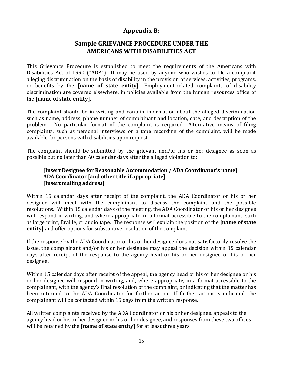## **Appendix B:**

## **Sample GRIEVANCE PROCEDURE UNDER THE AMERICANS WITH DISABILITIES ACT**

<span id="page-14-1"></span><span id="page-14-0"></span>This Grievance Procedure is established to meet the requirements of the Americans with Disabilities Act of 1990 ("ADA"). It may be used by anyone who wishes to file a complaint alleging discrimination on the basis of disability in the provision of services, activities, programs, or benefits by the **[name of state entity]**. Employment-related complaints of disability discrimination are covered elsewhere, in policies available from the human resources office of the **[name of state entity]**.

The complaint should be in writing and contain information about the alleged discrimination such as name, address, phone number of complainant and location, date, and description of the problem. No particular format of the complaint is required. Alternative means of filing complaints, such as personal interviews or a tape recording of the complaint, will be made available for persons with disabilities upon request.

The complaint should be submitted by the grievant and/or his or her designee as soon as possible but no later than 60 calendar days after the alleged violation to:

#### **[Insert Designee for Reasonable Accommodation / ADA Coordinator's name] ADA Coordinator [and other title if appropriate] [Insert mailing address]**

Within 15 calendar days after receipt of the complaint, the ADA Coordinator or his or her designee will meet with the complainant to discuss the complaint and the possible resolutions. Within 15 calendar days of the meeting, the ADA Coordinator or his or her designee will respond in writing, and where appropriate, in a format accessible to the complainant, such as large print, Braille, or audio tape. The response will explain the position of the **[name of state entity]** and offer options for substantive resolution of the complaint.

If the response by the ADA Coordinator or his or her designee does not satisfactorily resolve the issue, the complainant and/or his or her designee may appeal the decision within 15 calendar days after receipt of the response to the agency head or his or her designee or his or her designee.

Within 15 calendar days after receipt of the appeal, the agency head or his or her designee or his or her designee will respond in writing, and, where appropriate, in a format accessible to the complainant, with the agency's final resolution of the complaint, or indicating that the matter has been returned to the ADA Coordinator for further action. If further action is indicated, the complainant will be contacted within 15 days from the written response.

All written complaints received by the ADA Coordinator or his or her designee, appeals to the agency head or his or her designee or his or her designee, and responses from these two offices will be retained by the **[name of state entity]** for at least three years.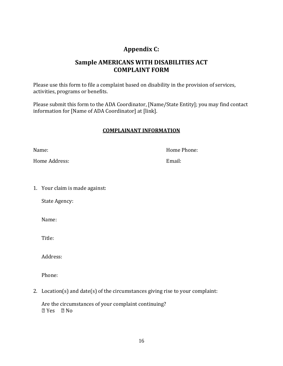# **Appendix C:**

## **Sample AMERICANS WITH DISABILITIES ACT COMPLAINT FORM**

<span id="page-15-1"></span><span id="page-15-0"></span>Please use this form to file a complaint based on disability in the provision of services, activities, programs or benefits.

Please submit this form to the ADA Coordinator, [Name/State Entity]; you may find contact information for [Name of ADA Coordinator] at [link].

#### **COMPLAINANT INFORMATION**

Name: Name: Name: Name: Name: Name: Name: Name: Name: Name: Name: Name: Name: Name: Name: Name: Name: Name: Name: Name: Name: Name: Name: Name: Name: Name: Name: Name: Name: Name: Name: Name: Name: Name: Name: Name: Name:

Home Address: Email:

1. Your claim is made against:

State Agency:

Name:

Title:

Address:

Phone:

2. Location(s) and date(s) of the circumstances giving rise to your complaint:

Are the circumstances of your complaint continuing? **2 Yes 2 No**